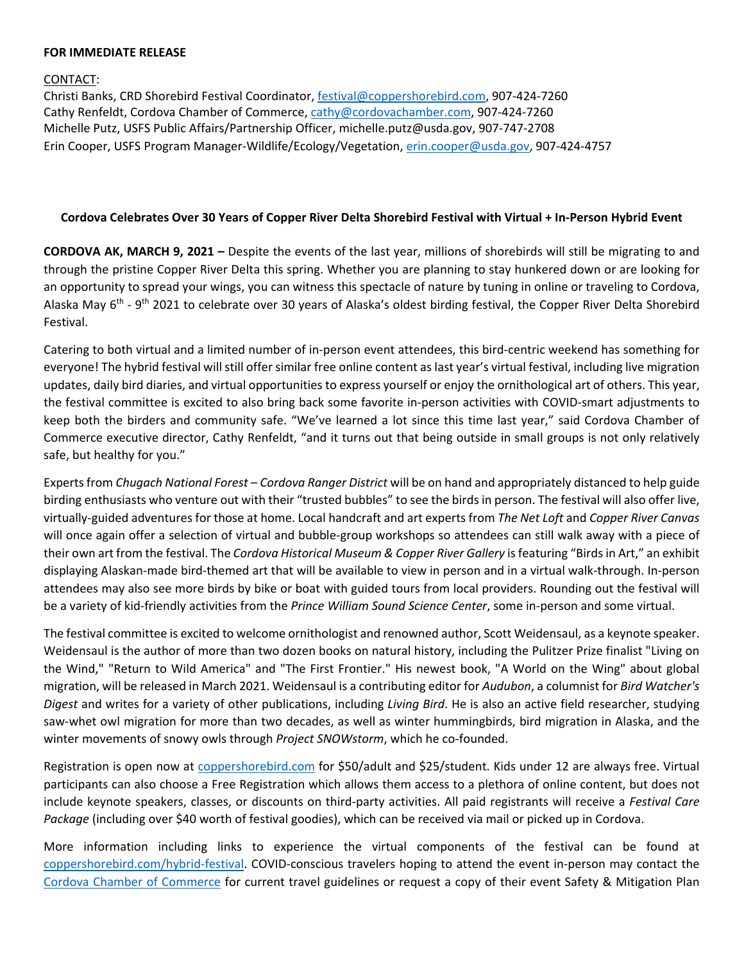## **FOR IMMEDIATE RELEASE**

## CONTACT:

Christi Banks, CRD Shorebird Festival Coordinator, [festival@coppershorebird.com,](mailto:festival@coppershorebird.com) 907-424-7260 Cathy Renfeldt, Cordova Chamber of Commerce, [cathy@cordovachamber.com,](mailto:cathy@cordovachamber.com) 907-424-7260 Michelle Putz, USFS Public Affairs/Partnership Officer, michelle.putz@usda.gov, 907-747-2708 Erin Cooper, USFS Program Manager-Wildlife/Ecology/Vegetation, [erin.cooper@usda.gov,](mailto:erin.cooper@usda.gov) 907-424-4757

## **Cordova Celebrates Over 30 Years of Copper River Delta Shorebird Festival with Virtual + In-Person Hybrid Event**

**CORDOVA AK, MARCH 9, 2021 –** Despite the events of the last year, millions of shorebirds will still be migrating to and through the pristine Copper River Delta this spring. Whether you are planning to stay hunkered down or are looking for an opportunity to spread your wings, you can witness this spectacle of nature by tuning in online or traveling to Cordova, Alaska May  $6<sup>th</sup>$  - 9<sup>th</sup> 2021 to celebrate over 30 years of Alaska's oldest birding festival, the Copper River Delta Shorebird Festival.

Catering to both virtual and a limited number of in-person event attendees, this bird-centric weekend has something for everyone! The hybrid festival will still offer similar free online content as last year's virtual festival, including live migration updates, daily bird diaries, and virtual opportunities to express yourself or enjoy the ornithological art of others. This year, the festival committee is excited to also bring back some favorite in-person activities with COVID-smart adjustments to keep both the birders and community safe. "We've learned a lot since this time last year," said Cordova Chamber of Commerce executive director, Cathy Renfeldt, "and it turns out that being outside in small groups is not only relatively safe, but healthy for you."

Expertsfrom *Chugach National Forest – Cordova Ranger District* will be on hand and appropriately distanced to help guide birding enthusiasts who venture out with their "trusted bubbles" to see the birds in person. The festival will also offer live, virtually-guided adventures for those at home. Local handcraft and art experts from *The Net Loft* and *Copper River Canvas* will once again offer a selection of virtual and bubble-group workshops so attendees can still walk away with a piece of their own art from the festival. The *Cordova Historical Museum & Copper River Gallery* isfeaturing "Birds in Art," an exhibit displaying Alaskan-made bird-themed art that will be available to view in person and in a virtual walk-through. In-person attendees may also see more birds by bike or boat with guided tours from local providers. Rounding out the festival will be a variety of kid-friendly activities from the *Prince William Sound Science Center*, some in-person and some virtual.

The festival committee is excited to welcome ornithologist and renowned author, Scott Weidensaul, as a keynote speaker. Weidensaul is the author of more than two dozen books on natural history, including the Pulitzer Prize finalist "Living on the Wind," "Return to Wild America" and "The First Frontier." His newest book, "A World on the Wing" about global migration, will be released in March 2021. Weidensaul is a contributing editor for *Audubon*, a columnist for *Bird Watcher's Digest* and writes for a variety of other publications, including *Living Bird*. He is also an active field researcher, studying saw-whet owl migration for more than two decades, as well as winter hummingbirds, bird migration in Alaska, and the winter movements of snowy owls through *Project SNOWstorm*, which he co-founded.

Registration is open now at [coppershorebird.com](http://coppershorebird.com/) for \$50/adult and \$25/student. Kids under 12 are always free. Virtual participants can also choose a Free Registration which allows them access to a plethora of online content, but does not include keynote speakers, classes, or discounts on third-party activities. All paid registrants will receive a *Festival Care Package* (including over \$40 worth of festival goodies), which can be received via mail or picked up in Cordova.

More information including links to experience the virtual components of the festival can be found at coppershorebird.com/hybrid-festival. COVID-conscious travelers hoping to attend the event in-person may contact the Cordova Chamber of Commerce for current travel guidelines or request a copy of their event Safety & Mitigation Plan